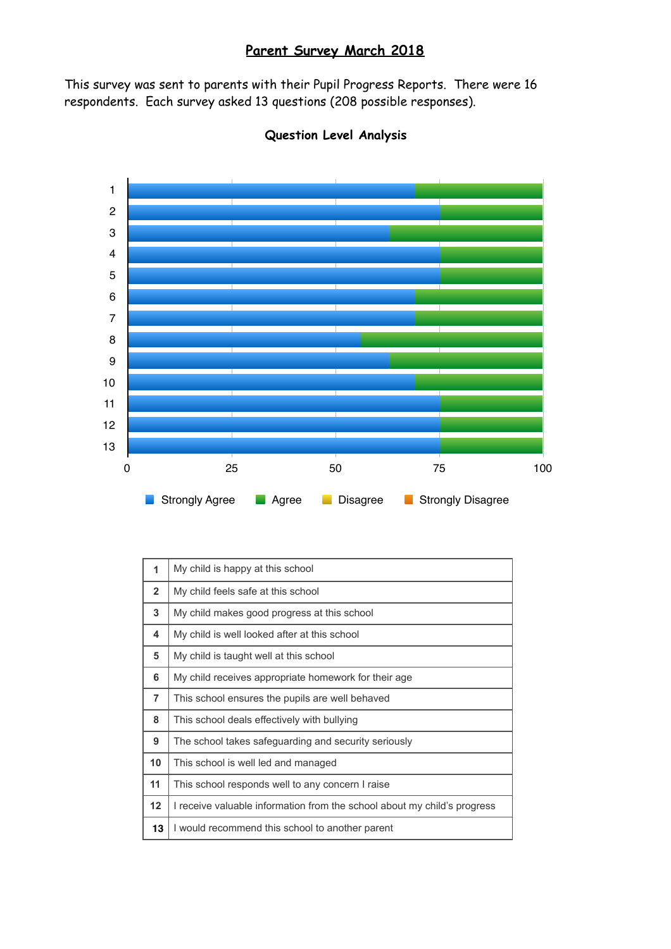# **Parent Survey March 2018**

This survey was sent to parents with their Pupil Progress Reports. There were 16 respondents. Each survey asked 13 questions (208 possible responses).



## **Question Level Analysis**

| 1              | My child is happy at this school                                         |
|----------------|--------------------------------------------------------------------------|
| $\overline{2}$ | My child feels safe at this school                                       |
| 3              | My child makes good progress at this school                              |
| 4              | My child is well looked after at this school                             |
| 5              | My child is taught well at this school                                   |
| 6              | My child receives appropriate homework for their age.                    |
| $\overline{7}$ | This school ensures the pupils are well behaved                          |
| 8              | This school deals effectively with bullying                              |
| 9              | The school takes safeguarding and security seriously                     |
| 10             | This school is well led and managed                                      |
| 11             | This school responds well to any concern I raise                         |
| 12             | I receive valuable information from the school about my child's progress |
| 13             | I would recommend this school to another parent                          |